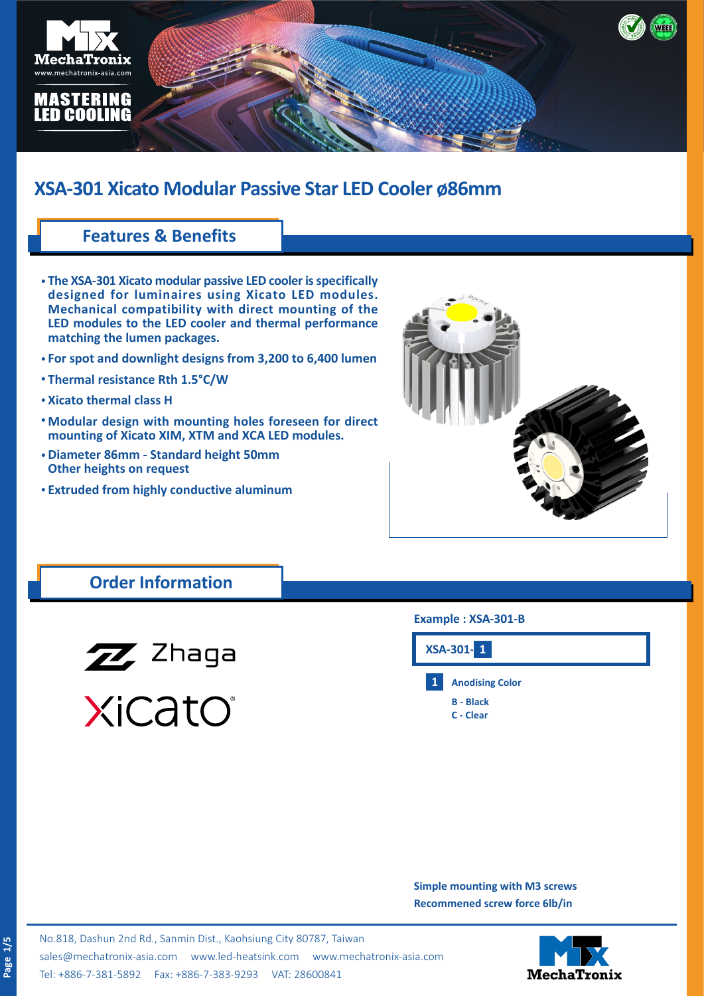

## **Features & Benefits**

- **The XSA-301 Xicato modular passive LED cooler is specifically • designed for luminaires using Xicato LED modules. Mechanical compatibility with direct mounting of the LED modules to the LED cooler and thermal performance matching the lumen packages.**
- **For spot and downlight designs from 3,200 to 6,400 lumen •**
- **Thermal resistance Rth 1.5°C/W •**
- **Xicato thermal class H •**
- **Modular design with mounting holes foreseen for direct • mounting of Xicato XIM, XTM and XCA LED modules.**
- **Diameter 86mm Standard height 50mm • Other heights on request**
- **Extruded from highly conductive aluminum •**



## **Order Information**



XiCatO®

## **Example : XSA-301-B**



**Simple mounting with M3 screws Recommened screw force 6lb/in**

No.818, Dashun 2nd Rd., Sanmin Dist., Kaohsiung City 80787, Taiwan [sales@mechatronix-asia.com](mailto:sales%40mechatronix-asia.com?subject=) [www.led-heatsink.com](http://www.led-heatsink.com) [www.mechatronix-asia.com](http://www.mechatronix-asia.com) Tel: +886-7-381-5892 Fax: +886-7-383-9293 VAT: 28600841

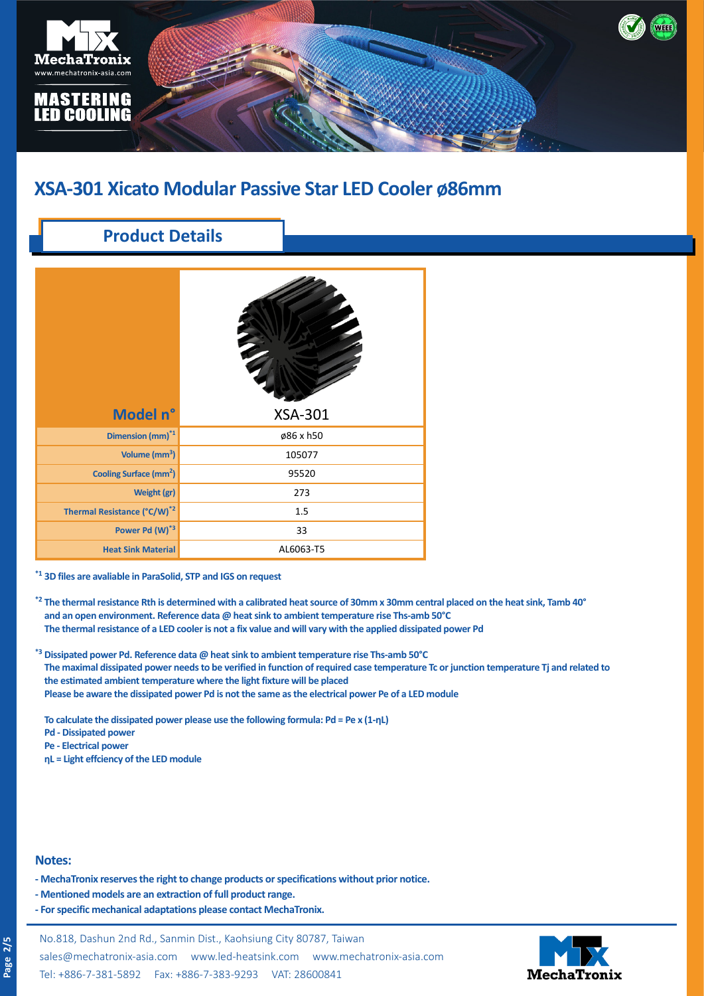

## **Product Details**

| Model n°                                | <b>XSA-301</b> |
|-----------------------------------------|----------------|
| Dimension (mm) <sup>*1</sup>            | ø86 x h50      |
| Volume (mm <sup>3</sup> )               | 105077         |
| Cooling Surface (mm <sup>2</sup> )      | 95520          |
| Weight (gr)                             | 273            |
| Thermal Resistance (°C/W) <sup>*2</sup> | 1.5            |
| Power Pd (W)*3                          | 33             |
| <b>Heat Sink Material</b>               | AL6063-T5      |

**\*1 3D files are avaliable in ParaSolid, STP and IGS on request**

- **\*2 The thermal resistance Rth is determined with a calibrated heat source of 30mm x 30mm central placed on the heat sink, Tamb 40°** and an open environment. Reference data @ heat sink to ambient temperature rise Ths-amb 50°C **\*3 The thermal resistance of a LED cooler is not a fix value and will vary with the applied dissipated power Pd**
- **\*3 Dissipated power Pd. Reference data @ heat sink to ambient temperature rise Ths-amb 50°C The maximal dissipated power needs to be verified in function of required case temperature Tc or junction temperature Tj and related to the estimated ambient temperature where the light fixture will be placed Please be aware the dissipated power Pd is not the same as the electrical power Pe of a LED module**

**To calculate the dissipated power please use the following formula: Pd = Pe x (1-ηL)**

- **Pd Dissipated power**
- **Pe Electrical power**
- **ηL = Light effciency of the LED module**

#### **Notes:**

- **MechaTronix reserves the right to change products or specifications without prior notice.**
- **Mentioned models are an extraction of full product range.**
- **For specific mechanical adaptations please contact MechaTronix.**

No.818, Dashun 2nd Rd., Sanmin Dist., Kaohsiung City 80787, Taiwan [sales@mechatronix-asia.com](mailto:sales%40mechatronix-asia.com?subject=) [www.led-heatsink.com](http://www.led-heatsink.com) [www.mechatronix-asia.com](http://www.mechatronix-asia.com) Tel: +886-7-381-5892 Fax: +886-7-383-9293 VAT: 28600841

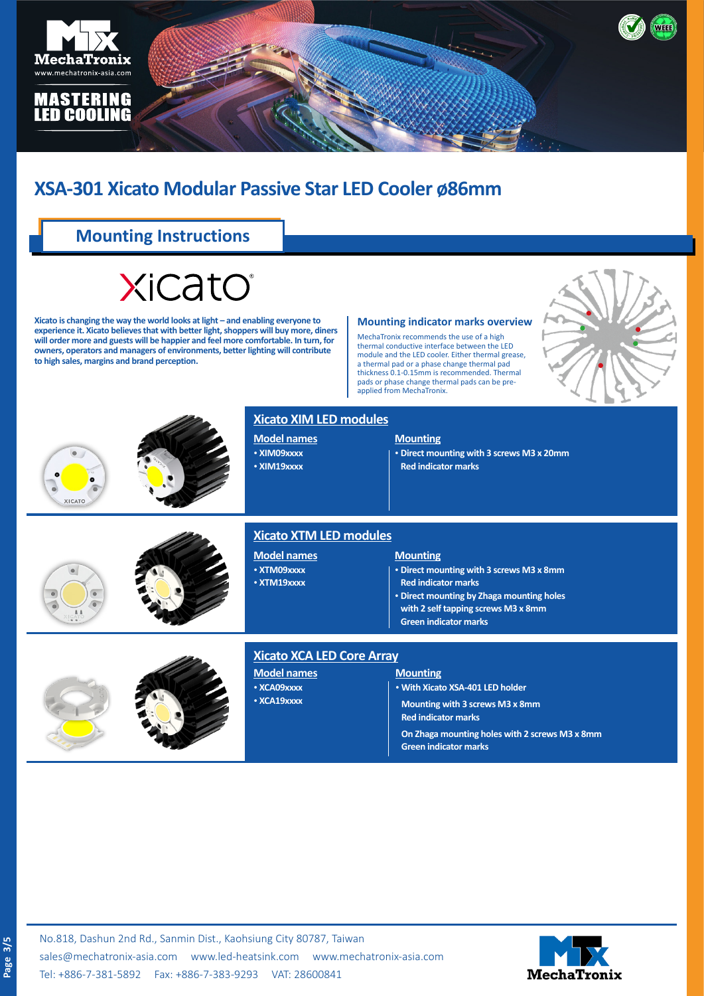

## **Mounting Instructions**

# **XiCatO**

**Xicato is changing the way the world looks at light – and enabling everyone to experience it. Xicato believes that with better light, shoppers will buy more, diners will order more and guests will be happier and feel more comfortable. In turn, for owners, operators and managers of environments, better lighting will contribute to high sales, margins and brand perception.**

#### **Mounting indicator marks overview**

MechaTronix recommends the use of a high thermal conductive interface between the LED module and the LED cooler. Either thermal grease, a thermal pad or a phase change thermal pad thickness 0.1-0.15mm is recommended. Thermal pads or phase change thermal pads can be preapplied from MechaTronix.







### **Xicato XIM LED modules**

**Model names** • **XIM09xxxx** • **XIM19xxxx**

#### **Mounting**

• **Direct mounting with 3 screws M3 x 20mm Red indicator marks**





## **Xicato XTM LED modules**

**Model names** • **XTM09xxxx** • **XTM19xxxx**

#### **Mounting**

• **Direct mounting with 3 screws M3 x 8mm**

- **Red indicator marks**
- • **Direct mounting by Zhaga mounting holes**
- **with 2 self tapping screws M3 x 8mm**
- **Green indicator marks**



## **Xicato XCA LED Core Array**

**Model names** • **XCA09xxxx**

• **XCA19xxxx**

#### **Mounting**

• **With Xicato XSA-401 LED holder**

**Mounting with 3 screws M3 x 8mm Red indicator marks**

**On Zhaga mounting holes with 2 screws M3 x 8mm**

**Green indicator marks**



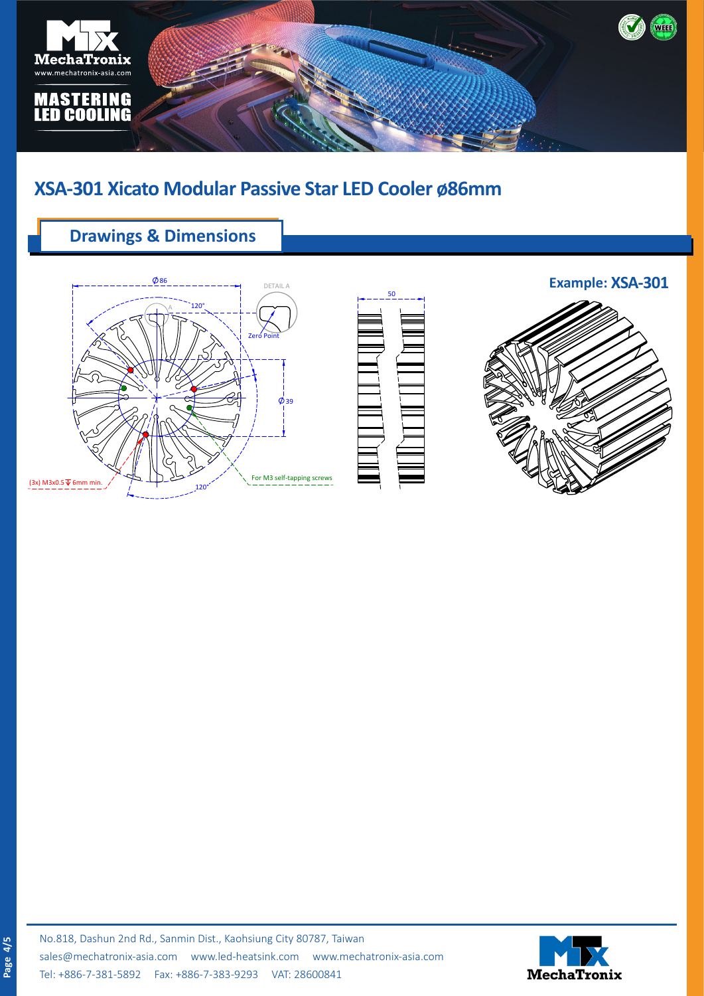

## **Drawings & Dimensions**





**Example: XSA-301**